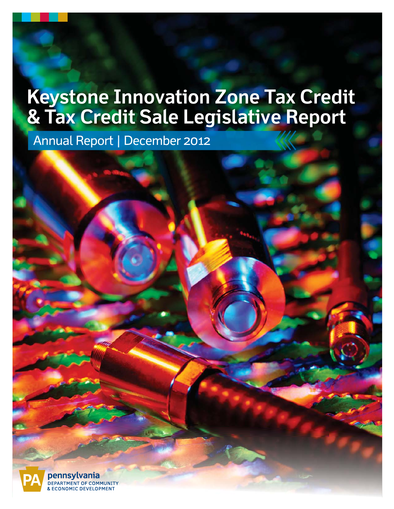# **Keystone Innovation Zone Tax Credit & Tax Credit Sale Legislative Report**

Annual Report | December 2012



pennsylvania **DEPARTMENT OF COMMUNITY** & ECONOMIC DEVELOPMENT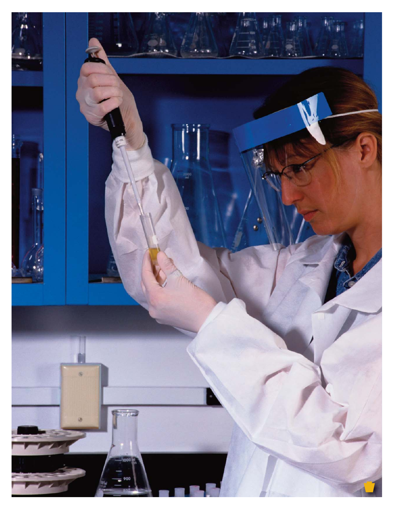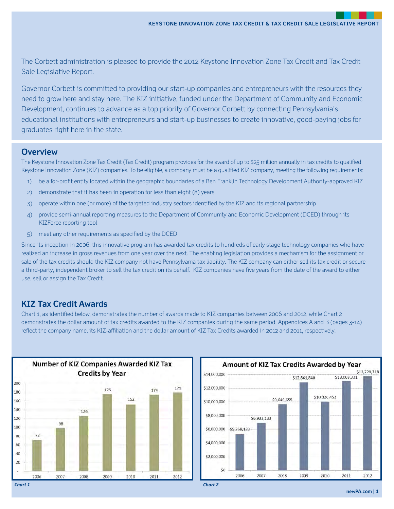The Corbett administration is pleased to provide the 2012 Keystone Innovation Zone Tax Credit and Tax Credit Sale Legislative Report.

Governor Corbett is committed to providing our start-up companies and entrepreneurs with the resources they need to grow here and stay here. The KIZ initiative, funded under the Department of Community and Economic Development, continues to advance as a top priority of Governor Corbett by connecting Pennsylvania's educational institutions with entrepreneurs and start-up businesses to create innovative, good-paying jobs for graduates right here in the state.

#### **Overview**

The Keystone Innovation Zone Tax Credit (Tax Credit) program provides for the award of up to \$25 million annually in tax credits to qualified Keystone Innovation Zone (KIZ) companies. To be eligible, a company must be a qualified KIZ company, meeting the following requirements:

- 1) be a for-profit entity located within the geographic boundaries of a Ben Franklin Technology Development Authority-approved KIZ
- 2) demonstrate that it has been in operation for less than eight (8) years
- 3) operate within one (or more) of the targeted industry sectors identified by the KIZ and its regional partnership
- 4) provide semi-annual reporting measures to the Department of Community and Economic Development (DCED) through its KIZForce reporting tool
- 5) meet any other requirements as specified by the DCED

Since its inception in 2006, this innovative program has awarded tax credits to hundreds of early stage technology companies who have realized an increase in gross revenues from one year over the next. The enabling legislation provides a mechanism for the assignment or sale of the tax credits should the KIZ company not have Pennsylvania tax liability. The KIZ company can either sell its tax credit or secure a third-party, independent broker to sell the tax credit on its behalf. KIZ companies have five years from the date of the award to either use, sell or assign the Tax Credit.

# **KIZ Tax Credit Awards**

Chart 1, as identified below, demonstrates the number of awards made to KIZ companies between 2006 and 2012, while Chart 2 demonstrates the dollar amount of tax credits awarded to the KIZ companies during the same period. Appendices A and B (pages 3-14) reflect the company name, its KIZ-affiliation and the dollar amount of KIZ Tax Credits awarded in 2012 and 2011, respectively.





**newPA.com | 1**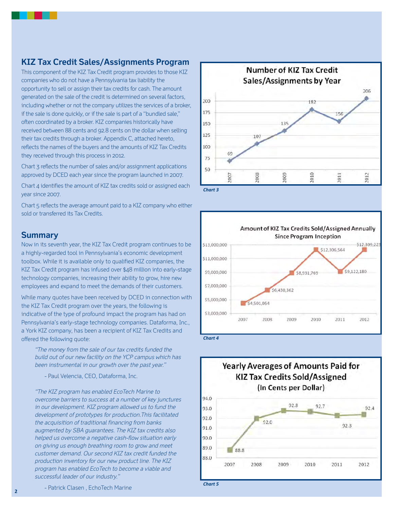# **KIZ Tax Credit Sales/Assignments Program**

This component of the KIZ Tax Credit program provides to those KIZ companies who do not have a Pennsylvania tax liability the opportunity to sell or assign their tax credits for cash. The amount generated on the sale of the credit is determined on several factors, including whether or not the company utilizes the services of a broker, if the sale is done quickly, or if the sale is part of a "bundled sale," often coordinated by a broker. KIZ companies historically have received between 88 cents and 92.8 cents on the dollar when selling their tax credits through a broker. Appendix C, attached hereto, reflects the names of the buyers and the amounts of KIZ Tax Credits they received through this process in 2012.

Chart 3 reflects the number of sales and/or assignment applications approved by DCED each year since the program launched in 2007.

Chart 4 identifies the amount of KIZ tax credits sold or assigned each year since 2007.

Chart 5 reflects the average amount paid to a KIZ company who either sold or transferred its Tax Credits.

#### **Summary**

Now in its seventh year, the KIZ Tax Credit program continues to be a highly-regarded tool in Pennsylvania's economic development toolbox. While it is available only to qualified KIZ companies, the KIZ Tax Credit program has infused over \$48 million into early-stage technology companies, increasing their ability to grow, hire new employees and expand to meet the demands of their customers.

While many quotes have been received by DCED in connection with the KIZ Tax Credit program over the years, the following is indicative of the type of profound impact the program has had on Pennsylvania's early-stage technology companies. Dataforma, Inc., a York KIZ company, has been a recipient of KIZ Tax Credits and offered the following quote:

"The money from the sale of our tax credits funded the build out of our new facility on the YCP campus which has been instrumental in our growth over the past year."

- Paul Velencia, CEO, Dataforma, Inc.

"The KIZ program has enabled EcoTech Marine to overcome barriers to success at a number of key junctures in our development. KIZ program allowed us to fund the development of prototypes for production.This facilitated the acquisition of traditional financing from banks augmented by SBA guarantees. The KIZ tax credits also helped us overcome a negative cash-flow situation early on giving us enough breathing room to grow and meet customer demand. Our second KIZ tax credit funded the production inventory for our new product line. The KIZ program has enabled EcoTech to become a viable and successful leader of our industry."





*Chart 4*



- Patrick Clasen , EchoTech Marine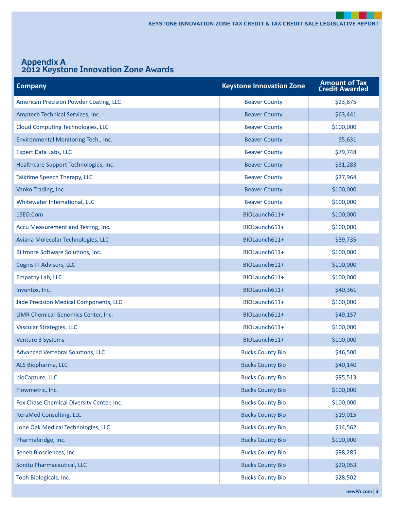### **Appendix A 2012 Keystone Innovation Zone Awards**

| <b>Company</b>                                | <b>Keystone Innovation Zone</b> | <b>Amount of Tax</b><br><b>Credit Awarded</b> |
|-----------------------------------------------|---------------------------------|-----------------------------------------------|
| <b>American Precision Powder Coating, LLC</b> | <b>Beaver County</b>            | \$23,875                                      |
| Amptech Technical Services, Inc.              | <b>Beaver County</b>            | \$63,441                                      |
| <b>Cloud Computing Technologies, LLC</b>      | <b>Beaver County</b>            | \$100,000                                     |
| Environmental Monitoring Tech., Inc.          | <b>Beaver County</b>            | \$5,631                                       |
| <b>Expert Data Labs, LLC</b>                  | <b>Beaver County</b>            | \$79,748                                      |
| Healthcare Support Technologies, Inc.         | <b>Beaver County</b>            | \$31,283                                      |
| Talktime Speech Therapy, LLC                  | <b>Beaver County</b>            | \$37,964                                      |
| Vanko Trading, Inc.                           | <b>Beaver County</b>            | \$100,000                                     |
| Whitewater International, LLC                 | <b>Beaver County</b>            | \$100,000                                     |
| 1SEO.Com                                      | BIOLaunch611+                   | \$100,000                                     |
| Accu Measurement and Testing, Inc.            | BIOLaunch611+                   | \$100,000                                     |
| Aviana Molecular Technologies, LLC            | BIOLaunch611+                   | \$39,735                                      |
| Biltmore Software Solutions, Inc.             | BIOLaunch611+                   | \$100,000                                     |
| <b>Cognis IT Advisors, LLC</b>                | BIOLaunch611+                   | \$100,000                                     |
| <b>Empathy Lab, LLC</b>                       | BIOLaunch611+                   | \$100,000                                     |
| Inventox, Inc.                                | BIOLaunch611+                   | \$40,361                                      |
| Jade Precision Medical Components, LLC        | BIOLaunch611+                   | \$100,000                                     |
| LIMR Chemical Genomics Center, Inc.           | BIOLaunch611+                   | \$49,157                                      |
| Vascular Strategies, LLC                      | BIOLaunch611+                   | \$100,000                                     |
| Venture 3 Systems                             | BIOLaunch611+                   | \$100,000                                     |
| <b>Advanced Vertebral Solutions, LLC</b>      | <b>Bucks County Bio</b>         | \$46,500                                      |
| ALS Biopharma, LLC                            | <b>Bucks County Bio</b>         | \$40,140                                      |
| bioCapture, LLC                               | <b>Bucks County Bio</b>         | \$95,513                                      |
| Flowmetric, Inc.                              | <b>Bucks County Bio</b>         | \$100,000                                     |
| Fox Chase Chemical Diversity Center, Inc.     | <b>Bucks County Bio</b>         | \$100,000                                     |
| IteraMed Consulting, LLC                      | <b>Bucks County Bio</b>         | \$19,015                                      |
| Lone Oak Medical Technologies, LLC            | <b>Bucks County Bio</b>         | \$14,562                                      |
| Pharmabridge, Inc.                            | <b>Bucks County Bio</b>         | \$100,000                                     |
| Seneb Biosciences, Inc.                       | <b>Bucks County Bio</b>         | \$98,285                                      |
| Sonitu Pharmaceutical, LLC                    | <b>Bucks County Bio</b>         | \$20,053                                      |
| Toph Biologicals, Inc.                        | <b>Bucks County Bio</b>         | \$28,502                                      |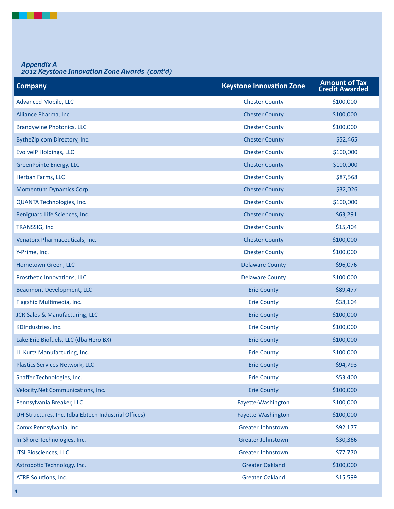#### *Appendix A 2012 Keystone Innovation Zone Awards (cont'd)*

| <b>Company</b>                                      | <b>Keystone Innovation Zone</b> | <b>Amount of Tax</b><br><b>Credit Awarded</b> |
|-----------------------------------------------------|---------------------------------|-----------------------------------------------|
| <b>Advanced Mobile, LLC</b>                         | <b>Chester County</b>           | \$100,000                                     |
| Alliance Pharma, Inc.                               | <b>Chester County</b>           | \$100,000                                     |
| <b>Brandywine Photonics, LLC</b>                    | <b>Chester County</b>           | \$100,000                                     |
| BytheZip.com Directory, Inc.                        | <b>Chester County</b>           | \$52,465                                      |
| <b>EvolveIP Holdings, LLC</b>                       | <b>Chester County</b>           | \$100,000                                     |
| <b>GreenPointe Energy, LLC</b>                      | <b>Chester County</b>           | \$100,000                                     |
| Herban Farms, LLC                                   | <b>Chester County</b>           | \$87,568                                      |
| Momentum Dynamics Corp.                             | <b>Chester County</b>           | \$32,026                                      |
| QUANTA Technologies, Inc.                           | <b>Chester County</b>           | \$100,000                                     |
| Reniguard Life Sciences, Inc.                       | <b>Chester County</b>           | \$63,291                                      |
| TRANSSIG, Inc.                                      | <b>Chester County</b>           | \$15,404                                      |
| Venatorx Pharmaceuticals, Inc.                      | <b>Chester County</b>           | \$100,000                                     |
| Y-Prime, Inc.                                       | <b>Chester County</b>           | \$100,000                                     |
| Hometown Green, LLC                                 | <b>Delaware County</b>          | \$96,076                                      |
| Prosthetic Innovations, LLC                         | <b>Delaware County</b>          | \$100,000                                     |
| <b>Beaumont Development, LLC</b>                    | <b>Erie County</b>              | \$89,477                                      |
| Flagship Multimedia, Inc.                           | <b>Erie County</b>              | \$38,104                                      |
| JCR Sales & Manufacturing, LLC                      | <b>Erie County</b>              | \$100,000                                     |
| KDIndustries, Inc.                                  | <b>Erie County</b>              | \$100,000                                     |
| Lake Erie Biofuels, LLC (dba Hero BX)               | <b>Erie County</b>              | \$100,000                                     |
| LL Kurtz Manufacturing, Inc.                        | <b>Erie County</b>              | \$100,000                                     |
| <b>Plastics Services Network, LLC</b>               | <b>Erie County</b>              | \$94,793                                      |
| Shaffer Technologies, Inc.                          | <b>Erie County</b>              | \$53,400                                      |
| Velocity.Net Communications, Inc.                   | <b>Erie County</b>              | \$100,000                                     |
| Pennsylvania Breaker, LLC                           | Fayette-Washington              | \$100,000                                     |
| UH Structures, Inc. (dba Ebtech Industrial Offices) | Fayette-Washington              | \$100,000                                     |
| Conxx Pennsylvania, Inc.                            | <b>Greater Johnstown</b>        | \$92,177                                      |
| In-Shore Technologies, Inc.                         | <b>Greater Johnstown</b>        | \$30,366                                      |
| <b>ITSI Biosciences, LLC</b>                        | Greater Johnstown               | \$77,770                                      |
| Astrobotic Technology, Inc.                         | <b>Greater Oakland</b>          | \$100,000                                     |
| ATRP Solutions, Inc.                                | <b>Greater Oakland</b>          | \$15,599                                      |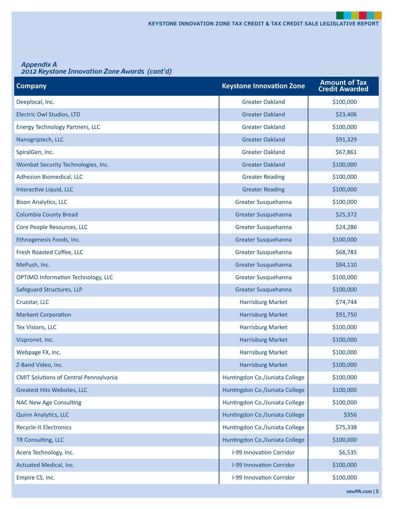# *Appendix A*

*2012 Keystone Innovation Zone Awards (cont'd)*

| <b>Company</b>                                | <b>Keystone Innovation Zone</b> | <b>Amount of Tax</b><br><b>Credit Awarded</b> |
|-----------------------------------------------|---------------------------------|-----------------------------------------------|
| Deeplocal, Inc.                               | <b>Greater Oakland</b>          | \$100,000                                     |
| <b>Electric Owl Studios, LTD</b>              | <b>Greater Oakland</b>          | \$23,406                                      |
| <b>Energy Technology Partners, LLC</b>        | <b>Greater Oakland</b>          | \$100,000                                     |
| Nanogriptech, LLC                             | <b>Greater Oakland</b>          | \$91,329                                      |
| SpiralGen, Inc.                               | <b>Greater Oakland</b>          | \$67,861                                      |
| Wombat Security Technologies, Inc.            | <b>Greater Oakland</b>          | \$100,000                                     |
| <b>Adhezion Biomedical, LLC</b>               | <b>Greater Reading</b>          | \$100,000                                     |
| Interactive Liquid, LLC                       | <b>Greater Reading</b>          | \$100,000                                     |
| <b>Bison Analytics, LLC</b>                   | Greater Susquehanna             | \$100,000                                     |
| <b>Columbia County Bread</b>                  | Greater Susquehanna             | \$25,372                                      |
| Core People Resources, LLC                    | Greater Susquehanna             | \$24,286                                      |
| Ethnogenesis Foods, Inc.                      | Greater Susquehanna             | \$100,000                                     |
| Fresh Roasted Coffee, LLC                     | Greater Susquehanna             | \$68,783                                      |
| MePush, Inc.                                  | Greater Susquehanna             | \$84,110                                      |
| <b>OPTIMO Information Technology, LLC</b>     | Greater Susquehanna             | \$100,000                                     |
| Safeguard Structures, LLP                     | Greater Susquehanna             | \$100,000                                     |
| Cruzstar, LLC                                 | <b>Harrisburg Market</b>        | \$74,744                                      |
| <b>Markant Corporation</b>                    | <b>Harrisburg Market</b>        | \$91,750                                      |
| <b>Tex Visions, LLC</b>                       | <b>Harrisburg Market</b>        | \$100,000                                     |
| Vispronet, Inc.                               | <b>Harrisburg Market</b>        | \$100,000                                     |
| Webpage FX, Inc.                              | <b>Harrisburg Market</b>        | \$100,000                                     |
| Z-Band Video, Inc.                            | <b>Harrisburg Market</b>        | \$100,000                                     |
| <b>CMIT Solutions of Central Pennsylvania</b> | Huntingdon Co./Juniata College  | \$100,000                                     |
| <b>Greatest Hits Websites, LLC</b>            | Huntingdon Co./Juniata College  | \$100,000                                     |
| <b>NAC New Age Consulting</b>                 | Huntingdon Co./Juniata College  | \$100,000                                     |
| <b>Quinn Analytics, LLC</b>                   | Huntingdon Co./Juniata College  | \$356                                         |
| <b>Recycle-It Electronics</b>                 | Huntingdon Co./Juniata College  | \$75,338                                      |
| TR Consulting, LLC                            | Huntingdon Co./Juniata College  | \$100,000                                     |
| Acera Technology, Inc.                        | <b>I-99 Innovation Corridor</b> | \$6,535                                       |
| <b>Actuated Medical, Inc.</b>                 | <b>I-99 Innovation Corridor</b> | \$100,000                                     |
| Empire CS, Inc.                               | <b>I-99 Innovation Corridor</b> | \$100,000                                     |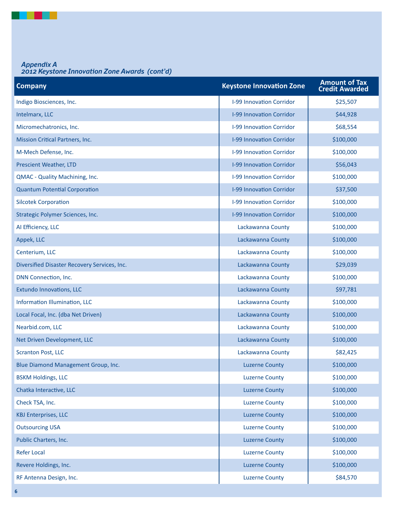#### *Appendix A 2012 Keystone Innovation Zone Awards (cont'd)*

| <b>Company</b>                               | <b>Keystone Innovation Zone</b> | <b>Amount of Tax</b><br><b>Credit Awarded</b> |
|----------------------------------------------|---------------------------------|-----------------------------------------------|
| Indigo Biosciences, Inc.                     | <b>I-99 Innovation Corridor</b> | \$25,507                                      |
| Intelmarx, LLC                               | <b>I-99 Innovation Corridor</b> | \$44,928                                      |
| Micromechatronics, Inc.                      | <b>I-99 Innovation Corridor</b> | \$68,554                                      |
| <b>Mission Critical Partners, Inc.</b>       | <b>I-99 Innovation Corridor</b> | \$100,000                                     |
| M-Mech Defense, Inc.                         | <b>I-99 Innovation Corridor</b> | \$100,000                                     |
| <b>Prescient Weather, LTD</b>                | <b>I-99 Innovation Corridor</b> | \$56,043                                      |
| QMAC - Quality Machining, Inc.               | <b>I-99 Innovation Corridor</b> | \$100,000                                     |
| <b>Quantum Potential Corporation</b>         | <b>I-99 Innovation Corridor</b> | \$37,500                                      |
| <b>Silcotek Corporation</b>                  | <b>I-99 Innovation Corridor</b> | \$100,000                                     |
| Strategic Polymer Sciences, Inc.             | <b>I-99 Innovation Corridor</b> | \$100,000                                     |
| Al Efficiency, LLC                           | Lackawanna County               | \$100,000                                     |
| Appek, LLC                                   | Lackawanna County               | \$100,000                                     |
| Centerium, LLC                               | Lackawanna County               | \$100,000                                     |
| Diversified Disaster Recovery Services, Inc. | Lackawanna County               | \$29,039                                      |
| <b>DNN Connection, Inc.</b>                  | Lackawanna County               | \$100,000                                     |
| <b>Extundo Innovations, LLC</b>              | Lackawanna County               | \$97,781                                      |
| Information Illumination, LLC                | Lackawanna County               | \$100,000                                     |
| Local Focal, Inc. (dba Net Driven)           | Lackawanna County               | \$100,000                                     |
| Nearbid.com, LLC                             | Lackawanna County               | \$100,000                                     |
| Net Driven Development, LLC                  | Lackawanna County               | \$100,000                                     |
| <b>Scranton Post, LLC</b>                    | Lackawanna County               | \$82,425                                      |
| Blue Diamond Management Group, Inc.          | Luzerne County                  | \$100,000                                     |
| <b>BSKM Holdings, LLC</b>                    | <b>Luzerne County</b>           | \$100,000                                     |
| Chatka Interactive, LLC                      | <b>Luzerne County</b>           | \$100,000                                     |
| Check TSA, Inc.                              | <b>Luzerne County</b>           | \$100,000                                     |
| <b>KBJ Enterprises, LLC</b>                  | <b>Luzerne County</b>           | \$100,000                                     |
| <b>Outsourcing USA</b>                       | <b>Luzerne County</b>           | \$100,000                                     |
| Public Charters, Inc.                        | <b>Luzerne County</b>           | \$100,000                                     |
| <b>Refer Local</b>                           | <b>Luzerne County</b>           | \$100,000                                     |
| Revere Holdings, Inc.                        | <b>Luzerne County</b>           | \$100,000                                     |
| RF Antenna Design, Inc.                      | <b>Luzerne County</b>           | \$84,570                                      |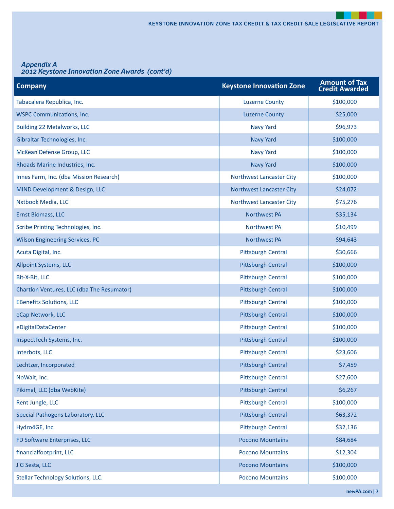# *Appendix A*

*2012 Keystone Innovation Zone Awards (cont'd)*

| <b>Company</b>                             | <b>Keystone Innovation Zone</b> | <b>Amount of Tax</b><br><b>Credit Awarded</b> |
|--------------------------------------------|---------------------------------|-----------------------------------------------|
| Tabacalera Republica, Inc.                 | <b>Luzerne County</b>           | \$100,000                                     |
| <b>WSPC Communications, Inc.</b>           | <b>Luzerne County</b>           | \$25,000                                      |
| <b>Building 22 Metalworks, LLC</b>         | <b>Navy Yard</b>                | \$96,973                                      |
| Gibraltar Technologies, Inc.               | Navy Yard                       | \$100,000                                     |
| McKean Defense Group, LLC                  | <b>Navy Yard</b>                | \$100,000                                     |
| Rhoads Marine Industries, Inc.             | <b>Navy Yard</b>                | \$100,000                                     |
| Innes Farm, Inc. (dba Mission Research)    | <b>Northwest Lancaster City</b> | \$100,000                                     |
| MIND Development & Design, LLC             | <b>Northwest Lancaster City</b> | \$24,072                                      |
| Nxtbook Media, LLC                         | <b>Northwest Lancaster City</b> | \$75,276                                      |
| Ernst Biomass, LLC                         | <b>Northwest PA</b>             | \$35,134                                      |
| Scribe Printing Technologies, Inc.         | Northwest PA                    | \$10,499                                      |
| <b>Wilson Engineering Services, PC</b>     | <b>Northwest PA</b>             | \$94,643                                      |
| Acuta Digital, Inc.                        | <b>Pittsburgh Central</b>       | \$30,666                                      |
| <b>Allpoint Systems, LLC</b>               | <b>Pittsburgh Central</b>       | \$100,000                                     |
| Bit-X-Bit, LLC                             | <b>Pittsburgh Central</b>       | \$100,000                                     |
| Chartlon Ventures, LLC (dba The Resumator) | <b>Pittsburgh Central</b>       | \$100,000                                     |
| <b>EBenefits Solutions, LLC</b>            | <b>Pittsburgh Central</b>       | \$100,000                                     |
| eCap Network, LLC                          | <b>Pittsburgh Central</b>       | \$100,000                                     |
| eDigitalDataCenter                         | <b>Pittsburgh Central</b>       | \$100,000                                     |
| InspectTech Systems, Inc.                  | <b>Pittsburgh Central</b>       | \$100,000                                     |
| Interbots, LLC                             | <b>Pittsburgh Central</b>       | \$23,606                                      |
| Lechtzer, Incorporated                     | <b>Pittsburgh Central</b>       | \$7,459                                       |
| NoWait, Inc.                               | <b>Pittsburgh Central</b>       | \$27,600                                      |
| Pikimal, LLC (dba WebKite)                 | <b>Pittsburgh Central</b>       | \$6,267                                       |
| Rent Jungle, LLC                           | <b>Pittsburgh Central</b>       | \$100,000                                     |
| <b>Special Pathogens Laboratory, LLC</b>   | <b>Pittsburgh Central</b>       | \$63,372                                      |
| Hydro4GE, Inc.                             | <b>Pittsburgh Central</b>       | \$32,136                                      |
| FD Software Enterprises, LLC               | <b>Pocono Mountains</b>         | \$84,684                                      |
| financialfootprint, LLC                    | <b>Pocono Mountains</b>         | \$12,304                                      |
| J G Sesta, LLC                             | <b>Pocono Mountains</b>         | \$100,000                                     |
| <b>Stellar Technology Solutions, LLC.</b>  | <b>Pocono Mountains</b>         | \$100,000                                     |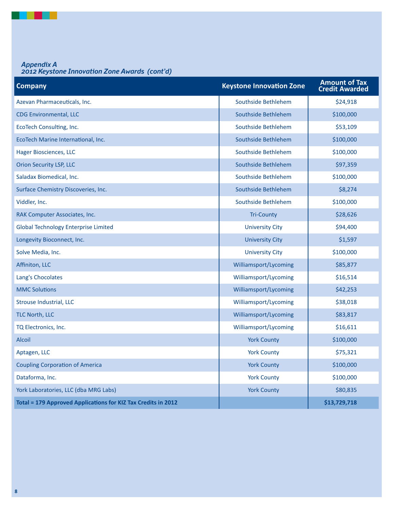#### *Appendix A 2012 Keystone Innovation Zone Awards (cont'd)*

| <b>Company</b>                                                       | <b>Keystone Innovation Zone</b> | <b>Amount of Tax</b><br><b>Credit Awarded</b> |
|----------------------------------------------------------------------|---------------------------------|-----------------------------------------------|
| Azevan Pharmaceuticals, Inc.                                         | Southside Bethlehem             | \$24,918                                      |
| <b>CDG Environmental, LLC</b>                                        | Southside Bethlehem             | \$100,000                                     |
| EcoTech Consulting, Inc.                                             | Southside Bethlehem             | \$53,109                                      |
| EcoTech Marine International, Inc.                                   | Southside Bethlehem             | \$100,000                                     |
| <b>Hager Biosciences, LLC</b>                                        | Southside Bethlehem             | \$100,000                                     |
| <b>Orion Security LSP, LLC</b>                                       | Southside Bethlehem             | \$97,359                                      |
| Saladax Biomedical, Inc.                                             | Southside Bethlehem             | \$100,000                                     |
| Surface Chemistry Discoveries, Inc.                                  | Southside Bethlehem             | \$8,274                                       |
| Viddler, Inc.                                                        | Southside Bethlehem             | \$100,000                                     |
| RAK Computer Associates, Inc.                                        | <b>Tri-County</b>               | \$28,626                                      |
| <b>Global Technology Enterprise Limited</b>                          | <b>University City</b>          | \$94,400                                      |
| Longevity Bioconnect, Inc.                                           | <b>University City</b>          | \$1,597                                       |
| Solve Media, Inc.                                                    | <b>University City</b>          | \$100,000                                     |
| Affiniton, LLC                                                       | Williamsport/Lycoming           | \$85,877                                      |
| Lang's Chocolates                                                    | Williamsport/Lycoming           | \$16,514                                      |
| <b>MMC Solutions</b>                                                 | Williamsport/Lycoming           | \$42,253                                      |
| <b>Strouse Industrial, LLC</b>                                       | Williamsport/Lycoming           | \$38,018                                      |
| TLC North, LLC                                                       | Williamsport/Lycoming           | \$83,817                                      |
| TQ Electronics, Inc.                                                 | Williamsport/Lycoming           | \$16,611                                      |
| <b>Alcoil</b>                                                        | <b>York County</b>              | \$100,000                                     |
| Aptagen, LLC                                                         | <b>York County</b>              | \$75,321                                      |
| <b>Coupling Corporation of America</b>                               | <b>York County</b>              | \$100,000                                     |
| Dataforma, Inc.                                                      | <b>York County</b>              | \$100,000                                     |
| York Laboratories, LLC (dba MRG Labs)                                | <b>York County</b>              | \$80,835                                      |
| <b>Total = 179 Approved Applications for KIZ Tax Credits in 2012</b> |                                 | \$13,729,718                                  |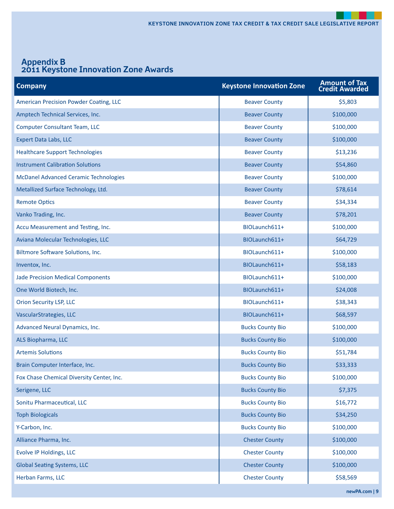### **Appendix B 2011 Keystone Innovation Zone Awards**

| <b>Company</b>                                | <b>Keystone Innovation Zone</b> | <b>Amount of Tax</b><br><b>Credit Awarded</b> |
|-----------------------------------------------|---------------------------------|-----------------------------------------------|
| <b>American Precision Powder Coating, LLC</b> | <b>Beaver County</b>            | \$5,803                                       |
| Amptech Technical Services, Inc.              | <b>Beaver County</b>            | \$100,000                                     |
| <b>Computer Consultant Team, LLC</b>          | <b>Beaver County</b>            | \$100,000                                     |
| <b>Expert Data Labs, LLC</b>                  | <b>Beaver County</b>            | \$100,000                                     |
| <b>Healthcare Support Technologies</b>        | <b>Beaver County</b>            | \$13,236                                      |
| <b>Instrument Calibration Solutions</b>       | <b>Beaver County</b>            | \$54,860                                      |
| <b>McDanel Advanced Ceramic Technologies</b>  | <b>Beaver County</b>            | \$100,000                                     |
| Metallized Surface Technology, Ltd.           | <b>Beaver County</b>            | \$78,614                                      |
| <b>Remote Optics</b>                          | <b>Beaver County</b>            | \$34,334                                      |
| Vanko Trading, Inc.                           | <b>Beaver County</b>            | \$78,201                                      |
| Accu Measurement and Testing, Inc.            | BIOLaunch611+                   | \$100,000                                     |
| Aviana Molecular Technologies, LLC            | BIOLaunch611+                   | \$64,729                                      |
| Biltmore Software Solutions, Inc.             | BIOLaunch611+                   | \$100,000                                     |
| Inventox, Inc.                                | BIOLaunch611+                   | \$58,183                                      |
| <b>Jade Precision Medical Components</b>      | BIOLaunch611+                   | \$100,000                                     |
| One World Biotech, Inc.                       | BIOLaunch611+                   | \$24,008                                      |
| <b>Orion Security LSP, LLC</b>                | BIOLaunch611+                   | \$38,343                                      |
| VascularStrategies, LLC                       | BIOLaunch611+                   | \$68,597                                      |
| Advanced Neural Dynamics, Inc.                | <b>Bucks County Bio</b>         | \$100,000                                     |
| ALS Biopharma, LLC                            | <b>Bucks County Bio</b>         | \$100,000                                     |
| <b>Artemis Solutions</b>                      | <b>Bucks County Bio</b>         | \$51,784                                      |
| Brain Computer Interface, Inc.                | <b>Bucks County Bio</b>         | \$33,333                                      |
| Fox Chase Chemical Diversity Center, Inc.     | <b>Bucks County Bio</b>         | \$100,000                                     |
| Serigene, LLC                                 | <b>Bucks County Bio</b>         | \$7,375                                       |
| Sonitu Pharmaceutical, LLC                    | <b>Bucks County Bio</b>         | \$16,772                                      |
| <b>Toph Biologicals</b>                       | <b>Bucks County Bio</b>         | \$34,250                                      |
| Y-Carbon, Inc.                                | <b>Bucks County Bio</b>         | \$100,000                                     |
| Alliance Pharma, Inc.                         | <b>Chester County</b>           | \$100,000                                     |
| <b>Evolve IP Holdings, LLC</b>                | <b>Chester County</b>           | \$100,000                                     |
| <b>Global Seating Systems, LLC</b>            | <b>Chester County</b>           | \$100,000                                     |
| Herban Farms, LLC                             | <b>Chester County</b>           | \$58,569                                      |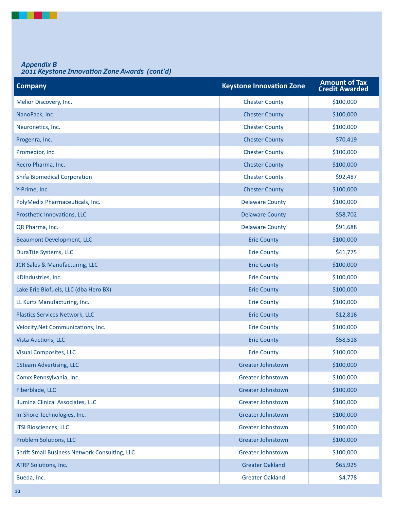#### *Appendix B 2011 Keystone Innovation Zone Awards (cont'd)*

| <b>Company</b>                                | <b>Keystone Innovation Zone</b> | <b>Amount of Tax</b><br><b>Credit Awarded</b> |
|-----------------------------------------------|---------------------------------|-----------------------------------------------|
| Melior Discovery, Inc.                        | <b>Chester County</b>           | \$100,000                                     |
| NanoPack, Inc.                                | <b>Chester County</b>           | \$100,000                                     |
| Neuronetics, Inc.                             | <b>Chester County</b>           | \$100,000                                     |
| Progenra, Inc.                                | <b>Chester County</b>           | \$70,419                                      |
| Promedior, Inc.                               | <b>Chester County</b>           | \$100,000                                     |
| Recro Pharma, Inc.                            | <b>Chester County</b>           | \$100,000                                     |
| <b>Shifa Biomedical Corporation</b>           | <b>Chester County</b>           | \$92,487                                      |
| Y-Prime, Inc.                                 | <b>Chester County</b>           | \$100,000                                     |
| PolyMedix Pharmaceuticals, Inc.               | <b>Delaware County</b>          | \$100,000                                     |
| Prosthetic Innovations, LLC                   | <b>Delaware County</b>          | \$58,702                                      |
| QR Pharma, Inc.                               | <b>Delaware County</b>          | \$91,688                                      |
| <b>Beaumont Development, LLC</b>              | <b>Erie County</b>              | \$100,000                                     |
| <b>DuraTite Systems, LLC</b>                  | <b>Erie County</b>              | \$41,775                                      |
| JCR Sales & Manufacturing, LLC                | <b>Erie County</b>              | \$100,000                                     |
| KDIndustries, Inc.                            | <b>Erie County</b>              | \$100,000                                     |
| Lake Erie Biofuels, LLC (dba Hero BX)         | <b>Erie County</b>              | \$100,000                                     |
| LL Kurtz Manufacturing, Inc.                  | <b>Erie County</b>              | \$100,000                                     |
| <b>Plastics Services Network, LLC</b>         | <b>Erie County</b>              | \$12,816                                      |
| Velocity.Net Communications, Inc.             | <b>Erie County</b>              | \$100,000                                     |
| <b>Vista Auctions, LLC</b>                    | <b>Erie County</b>              | \$58,518                                      |
| <b>Visual Composites, LLC</b>                 | <b>Erie County</b>              | \$100,000                                     |
| 1Steam Advertising, LLC                       | <b>Greater Johnstown</b>        | \$100,000                                     |
| Conxx Pennsylvania, Inc.                      | <b>Greater Johnstown</b>        | \$100,000                                     |
| Fiberblade, LLC                               | <b>Greater Johnstown</b>        | \$100,000                                     |
| Ilumina Clinical Associates, LLC              | <b>Greater Johnstown</b>        | \$100,000                                     |
| In-Shore Technologies, Inc.                   | <b>Greater Johnstown</b>        | \$100,000                                     |
| <b>ITSI Biosciences, LLC</b>                  | <b>Greater Johnstown</b>        | \$100,000                                     |
| <b>Problem Solutions, LLC</b>                 | <b>Greater Johnstown</b>        | \$100,000                                     |
| Shrift Small Business Network Consulting, LLC | <b>Greater Johnstown</b>        | \$100,000                                     |
| ATRP Solutions, Inc.                          | <b>Greater Oakland</b>          | \$65,925                                      |
| Bueda, Inc.                                   | <b>Greater Oakland</b>          | \$4,778                                       |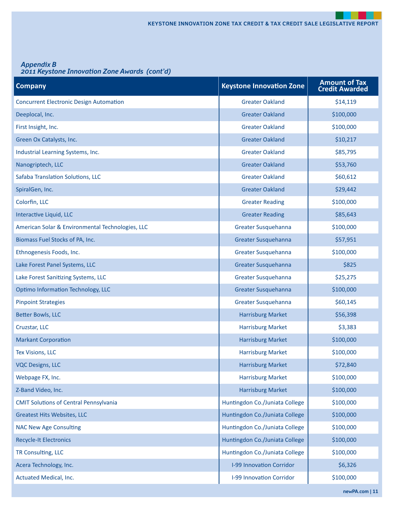# *Appendix B*

| <b>2011 Keystone Innovation Zone Awards (cont'd)</b> |  |
|------------------------------------------------------|--|
|                                                      |  |
|                                                      |  |

| <b>Company</b>                                   | <b>Keystone Innovation Zone</b> | <b>Amount of Tax</b><br><b>Credit Awarded</b> |
|--------------------------------------------------|---------------------------------|-----------------------------------------------|
| <b>Concurrent Electronic Design Automation</b>   | <b>Greater Oakland</b>          | \$14,119                                      |
| Deeplocal, Inc.                                  | <b>Greater Oakland</b>          | \$100,000                                     |
| First Insight, Inc.                              | <b>Greater Oakland</b>          | \$100,000                                     |
| Green Ox Catalysts, Inc.                         | <b>Greater Oakland</b>          | \$10,217                                      |
| Industrial Learning Systems, Inc.                | <b>Greater Oakland</b>          | \$85,795                                      |
| Nanogriptech, LLC                                | <b>Greater Oakland</b>          | \$53,760                                      |
| Safaba Translation Solutions, LLC                | <b>Greater Oakland</b>          | \$60,612                                      |
| SpiralGen, Inc.                                  | <b>Greater Oakland</b>          | \$29,442                                      |
| Colorfin, LLC                                    | <b>Greater Reading</b>          | \$100,000                                     |
| Interactive Liquid, LLC                          | <b>Greater Reading</b>          | \$85,643                                      |
| American Solar & Environmental Technologies, LLC | Greater Susquehanna             | \$100,000                                     |
| Biomass Fuel Stocks of PA, Inc.                  | Greater Susquehanna             | \$57,951                                      |
| Ethnogenesis Foods, Inc.                         | Greater Susquehanna             | \$100,000                                     |
| Lake Forest Panel Systems, LLC                   | Greater Susquehanna             | \$825                                         |
| Lake Forest Sanitizing Systems, LLC              | Greater Susquehanna             | \$25,275                                      |
| Optimo Information Technology, LLC               | Greater Susquehanna             | \$100,000                                     |
| <b>Pinpoint Strategies</b>                       | Greater Susquehanna             | \$60,145                                      |
| <b>Better Bowls, LLC</b>                         | <b>Harrisburg Market</b>        | \$56,398                                      |
| Cruzstar, LLC                                    | <b>Harrisburg Market</b>        | \$3,383                                       |
| <b>Markant Corporation</b>                       | <b>Harrisburg Market</b>        | \$100,000                                     |
| <b>Tex Visions, LLC</b>                          | <b>Harrisburg Market</b>        | \$100,000                                     |
| <b>VQC Designs, LLC</b>                          | <b>Harrisburg Market</b>        | \$72,840                                      |
| Webpage FX, Inc.                                 | <b>Harrisburg Market</b>        | \$100,000                                     |
| Z-Band Video, Inc.                               | <b>Harrisburg Market</b>        | \$100,000                                     |
| <b>CMIT Solutions of Central Pennsylvania</b>    | Huntingdon Co./Juniata College  | \$100,000                                     |
| <b>Greatest Hits Websites, LLC</b>               | Huntingdon Co./Juniata College  | \$100,000                                     |
| <b>NAC New Age Consulting</b>                    | Huntingdon Co./Juniata College  | \$100,000                                     |
| <b>Recycle-It Electronics</b>                    | Huntingdon Co./Juniata College  | \$100,000                                     |
| TR Consulting, LLC                               | Huntingdon Co./Juniata College  | \$100,000                                     |
| Acera Technology, Inc.                           | <b>I-99 Innovation Corridor</b> | \$6,326                                       |
| <b>Actuated Medical, Inc.</b>                    | <b>I-99 Innovation Corridor</b> | \$100,000                                     |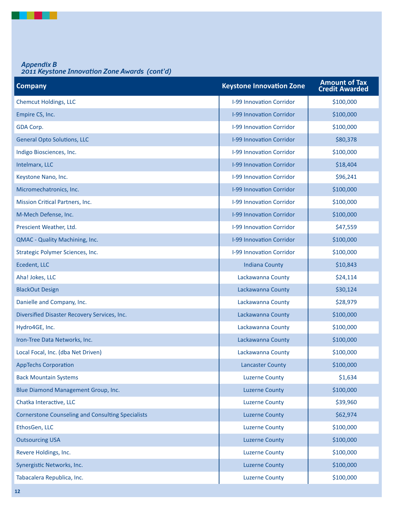#### *Appendix B 2011 Keystone Innovation Zone Awards (cont'd)*

| <b>Company</b>                                           | <b>Keystone Innovation Zone</b> | <b>Amount of Tax</b><br><b>Credit Awarded</b> |
|----------------------------------------------------------|---------------------------------|-----------------------------------------------|
| <b>Chemcut Holdings, LLC</b>                             | <b>I-99 Innovation Corridor</b> | \$100,000                                     |
| Empire CS, Inc.                                          | <b>I-99 Innovation Corridor</b> | \$100,000                                     |
| GDA Corp.                                                | <b>I-99 Innovation Corridor</b> | \$100,000                                     |
| <b>General Opto Solutions, LLC</b>                       | <b>I-99 Innovation Corridor</b> | \$80,378                                      |
| Indigo Biosciences, Inc.                                 | <b>I-99 Innovation Corridor</b> | \$100,000                                     |
| Intelmarx, LLC                                           | <b>I-99 Innovation Corridor</b> | \$18,404                                      |
| Keystone Nano, Inc.                                      | <b>I-99 Innovation Corridor</b> | \$96,241                                      |
| Micromechatronics, Inc.                                  | <b>I-99 Innovation Corridor</b> | \$100,000                                     |
| Mission Critical Partners, Inc.                          | <b>I-99 Innovation Corridor</b> | \$100,000                                     |
| M-Mech Defense, Inc.                                     | <b>I-99 Innovation Corridor</b> | \$100,000                                     |
| Prescient Weather, Ltd.                                  | <b>I-99 Innovation Corridor</b> | \$47,559                                      |
| QMAC - Quality Machining, Inc.                           | <b>I-99 Innovation Corridor</b> | \$100,000                                     |
| Strategic Polymer Sciences, Inc.                         | <b>I-99 Innovation Corridor</b> | \$100,000                                     |
| Ecedent, LLC                                             | <b>Indiana County</b>           | \$10,843                                      |
| Aha! Jokes, LLC                                          | Lackawanna County               | \$24,114                                      |
| <b>BlackOut Design</b>                                   | Lackawanna County               | \$30,124                                      |
| Danielle and Company, Inc.                               | Lackawanna County               | \$28,979                                      |
| Diversified Disaster Recovery Services, Inc.             | Lackawanna County               | \$100,000                                     |
| Hydro4GE, Inc.                                           | Lackawanna County               | \$100,000                                     |
| Iron-Tree Data Networks, Inc.                            | Lackawanna County               | \$100,000                                     |
| Local Focal, Inc. (dba Net Driven)                       | Lackawanna County               | \$100,000                                     |
| <b>AppTechs Corporation</b>                              | <b>Lancaster County</b>         | \$100,000                                     |
| <b>Back Mountain Systems</b>                             | <b>Luzerne County</b>           | \$1,634                                       |
| Blue Diamond Management Group, Inc.                      | <b>Luzerne County</b>           | \$100,000                                     |
| Chatka Interactive, LLC                                  | <b>Luzerne County</b>           | \$39,960                                      |
| <b>Cornerstone Counseling and Consulting Specialists</b> | <b>Luzerne County</b>           | \$62,974                                      |
| EthosGen, LLC                                            | <b>Luzerne County</b>           | \$100,000                                     |
| <b>Outsourcing USA</b>                                   | <b>Luzerne County</b>           | \$100,000                                     |
| Revere Holdings, Inc.                                    | <b>Luzerne County</b>           | \$100,000                                     |
| Synergistic Networks, Inc.                               | <b>Luzerne County</b>           | \$100,000                                     |
| Tabacalera Republica, Inc.                               | <b>Luzerne County</b>           | \$100,000                                     |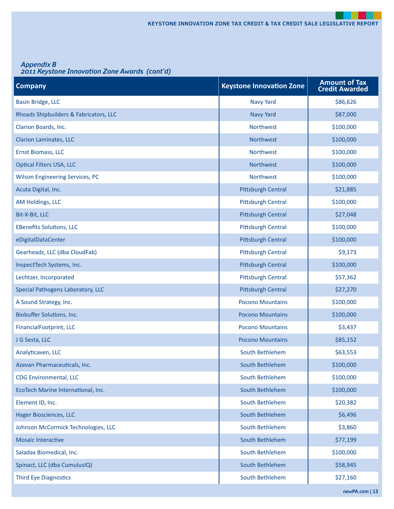## *Appendix B*

*2011 Keystone Innovation Zone Awards (cont'd)*

| <b>Company</b>                         | <b>Keystone Innovation Zone</b> | <b>Amount of Tax</b><br><b>Credit Awarded</b> |
|----------------------------------------|---------------------------------|-----------------------------------------------|
| <b>Basin Bridge, LLC</b>               | <b>Navy Yard</b>                | \$86,626                                      |
| Rhoads Shipbuilders & Fabricators, LLC | <b>Navy Yard</b>                | \$87,000                                      |
| Clarion Boards, Inc.                   | Northwest                       | \$100,000                                     |
| <b>Clarion Laminates, LLC</b>          | Northwest                       | \$100,000                                     |
| <b>Ernst Biomass, LLC</b>              | Northwest                       | \$100,000                                     |
| <b>Optical Filters USA, LLC</b>        | <b>Northwest</b>                | \$100,000                                     |
| <b>Wilson Engineering Services, PC</b> | Northwest                       | \$100,000                                     |
| Acuta Digital, Inc.                    | <b>Pittsburgh Central</b>       | \$21,885                                      |
| AM Holdings, LLC                       | <b>Pittsburgh Central</b>       | \$100,000                                     |
| Bit-X-Bit, LLC                         | <b>Pittsburgh Central</b>       | \$27,048                                      |
| <b>EBenefits Solutions, LLC</b>        | <b>Pittsburgh Central</b>       | \$100,000                                     |
| eDigitalDataCenter                     | <b>Pittsburgh Central</b>       | \$100,000                                     |
| Gearheadz, LLC (dba CloudFab)          | <b>Pittsburgh Central</b>       | \$9,173                                       |
| InspectTech Systems, Inc.              | <b>Pittsburgh Central</b>       | \$100,000                                     |
| Lechtzer, Incorporated                 | <b>Pittsburgh Central</b>       | \$57,362                                      |
| Special Pathogens Laboratory, LLC      | <b>Pittsburgh Central</b>       | \$27,270                                      |
| A Sound Strategy, Inc.                 | <b>Pocono Mountains</b>         | \$100,000                                     |
| <b>Biobuffer Solutions, Inc.</b>       | <b>Pocono Mountains</b>         | \$100,000                                     |
| FinancialFootprint, LLC                | <b>Pocono Mountains</b>         | \$3,437                                       |
| J G Sesta, LLC                         | <b>Pocono Mountains</b>         | \$85,152                                      |
| Analyticaven, LLC                      | South Bethlehem                 | \$63,553                                      |
| Azevan Pharmaceuticals, Inc.           | South Bethlehem                 | \$100,000                                     |
| <b>CDG Environmental, LLC</b>          | South Bethlehem                 | \$100,000                                     |
| EcoTech Marine International, Inc.     | South Bethlehem                 | \$100,000                                     |
| Element ID, Inc.                       | South Bethlehem                 | \$20,382                                      |
| <b>Hager Biosciences, LLC</b>          | South Bethlehem                 | \$6,496                                       |
| Johnson McCormick Technologies, LLC    | South Bethlehem                 | \$3,860                                       |
| <b>Mosaic Interactive</b>              | South Bethlehem                 | \$77,199                                      |
| Saladax Biomedical, Inc.               | South Bethlehem                 | \$100,000                                     |
| Spinact, LLC (dba CumulusIQ)           | South Bethlehem                 | \$58,945                                      |
| <b>Third Eye Diagnostics</b>           | South Bethlehem                 | \$27,160                                      |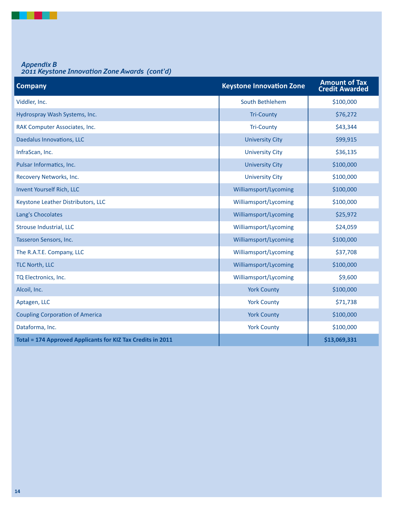#### *Appendix B 2011 Keystone Innovation Zone Awards (cont'd)*

. . .

| <b>Company</b>                                                     | <b>Keystone Innovation Zone</b> | <b>Amount of Tax</b><br><b>Credit Awarded</b> |
|--------------------------------------------------------------------|---------------------------------|-----------------------------------------------|
| Viddler, Inc.                                                      | South Bethlehem                 | \$100,000                                     |
| Hydrospray Wash Systems, Inc.                                      | <b>Tri-County</b>               | \$76,272                                      |
| RAK Computer Associates, Inc.                                      | <b>Tri-County</b>               | \$43,344                                      |
| <b>Daedalus Innovations, LLC</b>                                   | <b>University City</b>          | \$99,915                                      |
| InfraScan, Inc.                                                    | <b>University City</b>          | \$36,135                                      |
| Pulsar Informatics, Inc.                                           | <b>University City</b>          | \$100,000                                     |
| Recovery Networks, Inc.                                            | <b>University City</b>          | \$100,000                                     |
| <b>Invent Yourself Rich, LLC</b>                                   | Williamsport/Lycoming           | \$100,000                                     |
| Keystone Leather Distributors, LLC                                 | Williamsport/Lycoming           | \$100,000                                     |
| Lang's Chocolates                                                  | Williamsport/Lycoming           | \$25,972                                      |
| <b>Strouse Industrial, LLC</b>                                     | Williamsport/Lycoming           | \$24,059                                      |
| Tasseron Sensors, Inc.                                             | Williamsport/Lycoming           | \$100,000                                     |
| The R.A.T.E. Company, LLC                                          | Williamsport/Lycoming           | \$37,708                                      |
| <b>TLC North, LLC</b>                                              | Williamsport/Lycoming           | \$100,000                                     |
| TQ Electronics, Inc.                                               | Williamsport/Lycoming           | \$9,600                                       |
| Alcoil, Inc.                                                       | <b>York County</b>              | \$100,000                                     |
| Aptagen, LLC                                                       | <b>York County</b>              | \$71,738                                      |
| <b>Coupling Corporation of America</b>                             | <b>York County</b>              | \$100,000                                     |
| Dataforma, Inc.                                                    | <b>York County</b>              | \$100,000                                     |
| <b>Total = 174 Approved Applicants for KIZ Tax Credits in 2011</b> |                                 | \$13,069,331                                  |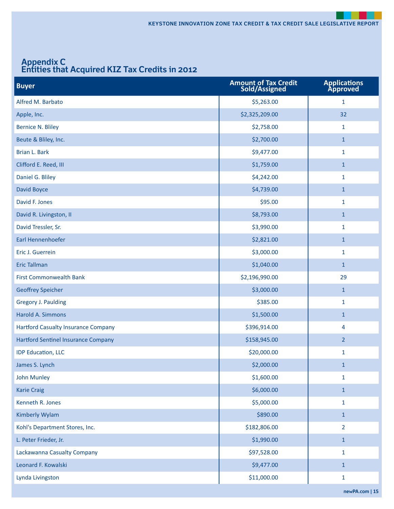# **Appendix C Entities that Acquired KIZ Tax Credits in 2012**

| <b>Buyer</b>                               | <b>Amount of Tax Credit</b><br>Sold/Assigned | <b>Applications</b><br><b>Approved</b> |
|--------------------------------------------|----------------------------------------------|----------------------------------------|
| Alfred M. Barbato                          | \$5,263.00                                   | $\mathbf{1}$                           |
| Apple, Inc.                                | \$2,325,209.00                               | 32                                     |
| <b>Bernice N. Bliley</b>                   | \$2,758.00                                   | $\mathbf{1}$                           |
| Beute & Bliley, Inc.                       | \$2,700.00                                   | $\mathbf{1}$                           |
| <b>Brian L. Bark</b>                       | \$9,477.00                                   | $\mathbf{1}$                           |
| Clifford E. Reed, III                      | \$1,759.00                                   | $\mathbf{1}$                           |
| Daniel G. Bliley                           | \$4,242.00                                   | $\mathbf{1}$                           |
| David Boyce                                | \$4,739.00                                   | $\mathbf{1}$                           |
| David F. Jones                             | \$95.00                                      | $\mathbf{1}$                           |
| David R. Livingston, II                    | \$8,793.00                                   | $\mathbf{1}$                           |
| David Tressler, Sr.                        | \$3,990.00                                   | $\mathbf{1}$                           |
| Earl Hennenhoefer                          | \$2,821.00                                   | $\mathbf{1}$                           |
| Eric J. Guerrein                           | \$3,000.00                                   | $\mathbf{1}$                           |
| <b>Eric Tallman</b>                        | \$1,040.00                                   | $\mathbf{1}$                           |
| <b>First Commonwealth Bank</b>             | \$2,196,990.00                               | 29                                     |
| <b>Geoffrey Speicher</b>                   | \$3,000.00                                   | $\mathbf{1}$                           |
| <b>Gregory J. Paulding</b>                 | \$385.00                                     | $\mathbf{1}$                           |
| Harold A. Simmons                          | \$1,500.00                                   | $\mathbf{1}$                           |
| <b>Hartford Casualty Insurance Company</b> | \$396,914.00                                 | 4                                      |
| <b>Hartford Sentinel Insurance Company</b> | \$158,945.00                                 | 2 <sup>2</sup>                         |
| <b>IDP Education, LLC</b>                  | \$20,000.00                                  | $\mathbf{1}$                           |
| James S. Lynch                             | \$2,000.00                                   | $\mathbf{1}$                           |
| <b>John Munley</b>                         | \$1,600.00                                   | $\mathbf{1}$                           |
| <b>Karie Craig</b>                         | \$6,000.00                                   | $\mathbf{1}$                           |
| Kenneth R. Jones                           | \$5,000.00                                   | $\mathbf{1}$                           |
| <b>Kimberly Wylam</b>                      | \$890.00                                     | $\mathbf{1}$                           |
| Kohl's Department Stores, Inc.             | \$182,806.00                                 | $\overline{2}$                         |
| L. Peter Frieder, Jr.                      | \$1,990.00                                   | $\mathbf{1}$                           |
| Lackawanna Casualty Company                | \$97,528.00                                  | $\mathbf{1}$                           |
| Leonard F. Kowalski                        | \$9,477.00                                   | $\mathbf{1}$                           |
| Lynda Livingston                           | \$11,000.00                                  | $\mathbf{1}$                           |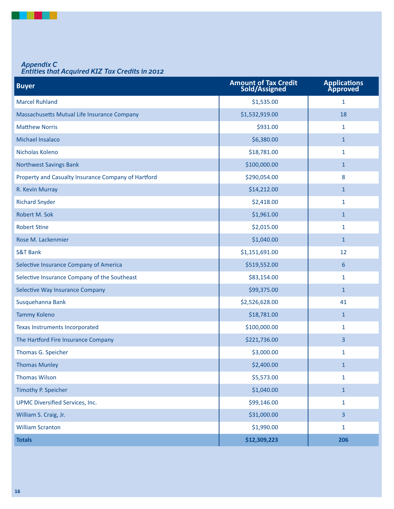# *Appendix C*

. . .

#### *Entities that Acquired KIZ Tax Credits in 2012*

| <b>Buyer</b>                                        | <b>Amount of Tax Credit</b><br>Sold/Assigned | <b>Applications</b><br><b>Approved</b> |
|-----------------------------------------------------|----------------------------------------------|----------------------------------------|
| <b>Marcel Ruhland</b>                               | \$1,535.00                                   | 1                                      |
| Massachusetts Mutual Life Insurance Company         | \$1,532,919.00                               | 18                                     |
| <b>Matthew Norris</b>                               | \$931.00                                     | $\mathbf{1}$                           |
| <b>Michael Insalaco</b>                             | \$6,380.00                                   | $\mathbf{1}$                           |
| Nicholas Koleno                                     | \$18,781.00                                  | $\mathbf{1}$                           |
| <b>Northwest Savings Bank</b>                       | \$100,000.00                                 | $\mathbf{1}$                           |
| Property and Casualty Insurance Company of Hartford | \$290,054.00                                 | 8                                      |
| R. Kevin Murray                                     | \$14,212.00                                  | $\mathbf{1}$                           |
| <b>Richard Snyder</b>                               | \$2,418.00                                   | $\mathbf{1}$                           |
| Robert M. Sok                                       | \$1,961.00                                   | $\mathbf{1}$                           |
| <b>Robert Stine</b>                                 | \$2,015.00                                   | $\mathbf{1}$                           |
| Rose M. Lackenmier                                  | \$1,040.00                                   | $\mathbf{1}$                           |
| <b>S&amp;T Bank</b>                                 | \$1,151,691.00                               | 12                                     |
| Selective Insurance Company of America              | \$519,552.00                                 | 6                                      |
| Selective Insurance Company of the Southeast        | \$83,154.00                                  | 1                                      |
| Selective Way Insurance Company                     | \$99,375.00                                  | $\mathbf{1}$                           |
| Susquehanna Bank                                    | \$2,526,628.00                               | 41                                     |
| <b>Tammy Koleno</b>                                 | \$18,781.00                                  | $\mathbf{1}$                           |
| <b>Texas Instruments Incorporated</b>               | \$100,000.00                                 | 1                                      |
| The Hartford Fire Insurance Company                 | \$221,736.00                                 | 3                                      |
| Thomas G. Speicher                                  | \$3,000.00                                   | 1                                      |
| <b>Thomas Munley</b>                                | \$2,400.00                                   | $\mathbf{1}$                           |
| <b>Thomas Wilson</b>                                | \$5,573.00                                   | $\mathbf{1}$                           |
| Timothy P. Speicher                                 | \$1,040.00                                   | $\mathbf{1}$                           |
| <b>UPMC Diversified Services, Inc.</b>              | \$99,146.00                                  | $\mathbf{1}$                           |
| William S. Craig, Jr.                               | \$31,000.00                                  | $\overline{3}$                         |
| <b>William Scranton</b>                             | \$1,990.00                                   | $\mathbf{1}$                           |
| <b>Totals</b>                                       | \$12,309,223                                 | 206                                    |